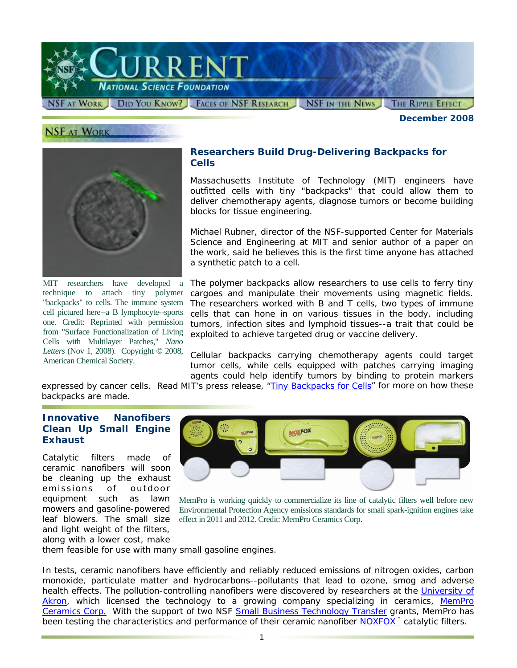

#### **NSF AT WORK**

*December 2008* 



MIT researchers have developed a technique to attach tiny polymer "backpacks" to cells. The immune system cell pictured here--a B lymphocyte--sports one. Credit: Reprinted with permission from "Surface Functionalization of Living Cells with Multilayer Patches," *Nano Letters* (Nov 1, 2008). Copyright © 2008, American Chemical Society.

### **Researchers Build Drug-Delivering Backpacks for Cells**

Massachusetts Institute of Technology (MIT) engineers have outfitted cells with tiny "backpacks" that could allow them to deliver chemotherapy agents, diagnose tumors or become building blocks for tissue engineering.

Michael Rubner, director of the NSF-supported Center for Materials Science and Engineering at MIT and senior author of a paper on the work, said he believes this is the first time anyone has attached a synthetic patch to a cell.

The polymer backpacks allow researchers to use cells to ferry tiny cargoes and manipulate their movements using magnetic fields. The researchers worked with B and T cells, two types of immune cells that can hone in on various tissues in the body, including tumors, infection sites and lymphoid tissues--a trait that could be exploited to achieve targeted drug or vaccine delivery.

Cellular backpacks carrying chemotherapy agents could target tumor cells, while cells equipped with patches carrying imaging agents could help identify tumors by binding to protein markers

expressed by cancer cells. Read MIT's press release, ["Tiny Backpacks for Cells"](http://www.nsf.gov/cgi-bin/goodbye?http://web.mit.edu/newsoffice/2008/cellbackpack-1106.html) for more on how these backpacks are made.

## **Innovative Nanofibers Clean Up Small Engine Exhaust**

Catalytic filters made of ceramic nanofibers will soon be cleaning up the exhaust emissions of outdoor equipment such as lawn mowers and gasoline-powered leaf blowers. The small size and light weight of the filters, along with a lower cost, make



MemPro is working quickly to commercialize its line of catalytic filters well before new Environmental Protection Agency emissions standards for small spark-ignition engines take effect in 2011 and 2012. Credit: MemPro Ceramics Corp.

them feasible for use with many small gasoline engines.

In tests, ceramic nanofibers have efficiently and reliably reduced emissions of nitrogen oxides, carbon monoxide, particulate matter and hydrocarbons--pollutants that lead to ozone, smog and adverse health effects. The pollution-controlling nanofibers were discovered by researchers at the [University of](http://www.nsf.gov/cgi-bin/goodbye?http://www.uakron.edu/)  [Akron](http://www.nsf.gov/cgi-bin/goodbye?http://www.uakron.edu/), which licensed the technology to a growing company specializing in ceramics, MemPro [Ceramics Corp.](http://www.nsf.gov/cgi-bin/goodbye?http://www.mempro.com/) With the support of two NSF [Small Business Technology Transfer](http://www.nsf.gov/funding/pgm_summ.jsp?pims_id=5527) grants, MemPro has been testing the characteristics and performance of their ceramic nanofiber NOXFOX<sup>™</sup> catalytic filters.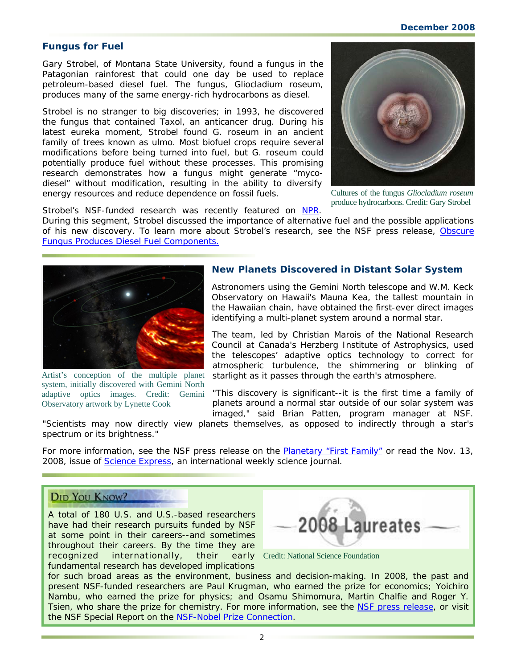#### **Fungus for Fuel**

Gary Strobel, of Montana State University, found a fungus in the Patagonian rainforest that could one day be used to replace petroleum-based diesel fuel. The fungus, *Gliocladium roseum,* produces many of the same energy-rich hydrocarbons as diesel.

Strobel is no stranger to big discoveries; in 1993, he discovered the fungus that contained Taxol, an anticancer drug. During his latest eureka moment, Strobel found *G. roseum* in an ancient family of trees known as ulmo. Most biofuel crops require several modifications before being turned into fuel, but *G. roseum* could potentially produce fuel without these processes. This promising research demonstrates how a fungus might generate "mycodiesel" without modification, resulting in the ability to diversify energy resources and reduce dependence on fossil fuels.



Cultures of the fungus *Gliocladium roseum* produce hydrocarbons. Credit: Gary Strobel

Strobel's NSF-funded research was recently featured on [NPR.](http://www.nsf.gov/cgi-bin/goodbye?http://www.npr.org/templates/story/story.php?storyId=96574076)

During this segment, Strobel discussed the importance of alternative fuel and the possible applications of his new discovery. To learn more about Strobel's research, see the NSF press release, [Obscure](http://www.nsf.gov/news/news_summ.jsp?cntn_id=112581&org=NSF&from=news)  [Fungus Produces Diesel Fuel Components.](http://www.nsf.gov/news/news_summ.jsp?cntn_id=112581&org=NSF&from=news)



Artist's conception of the multiple planet system, initially discovered with Gemini North adaptive optics images. Credit: Gemini Observatory artwork by Lynette Cook

#### **New Planets Discovered in Distant Solar System**

Astronomers using the Gemini North telescope and W.M. Keck Observatory on Hawaii's Mauna Kea, the tallest mountain in the Hawaiian chain, have obtained the first-ever direct images identifying a multi-planet system around a normal star.

The team, led by Christian Marois of the National Research Council at Canada's Herzberg Institute of Astrophysics, used the telescopes' adaptive optics technology to correct for atmospheric turbulence, the shimmering or blinking of starlight as it passes through the earth's atmosphere.

"This discovery is significant--it is the first time a family of planets around a normal star outside of our solar system was imaged," said Brian Patten, program manager at NSF.

"Scientists may now directly view planets themselves, as opposed to indirectly through a star's spectrum or its brightness."

For more information, see the NSF press release on the **Planetary "First Family"** or read the Nov. 13, 2008, issue of *[Science Express](http://www.nsf.gov/cgi-bin/goodbye?http://www.sciencemag.org/cgi/rapidpdf/1166585.pdf)*, an international weekly science journal.

## **DID YOU KNOW?**

A total of 180 U.S. and U.S.-based researchers have had their research pursuits funded by NSF at some point in their careers--and sometimes throughout their careers. By the time they are recognized internationally, their fundamental research has developed implications



early Credit: National Science Foundation

for such broad areas as the environment, business and decision-making. In 2008, the past and present NSF-funded researchers are Paul Krugman, who earned the prize for economics; Yoichiro Nambu, who earned the prize for physics; and Osamu Shimomura, Martin Chalfie and Roger Y. Tsien, who share the prize for chemistry. For more information, see the [NSF press release,](http://www.nsf.gov/news/news_summ.jsp?cntn_id=112451&org=NSF&from=news) or visit the NSF Special Report on the [NSF-Nobel Prize Connection.](http://www.nsf.gov/news/special_reports/nobelprizes/)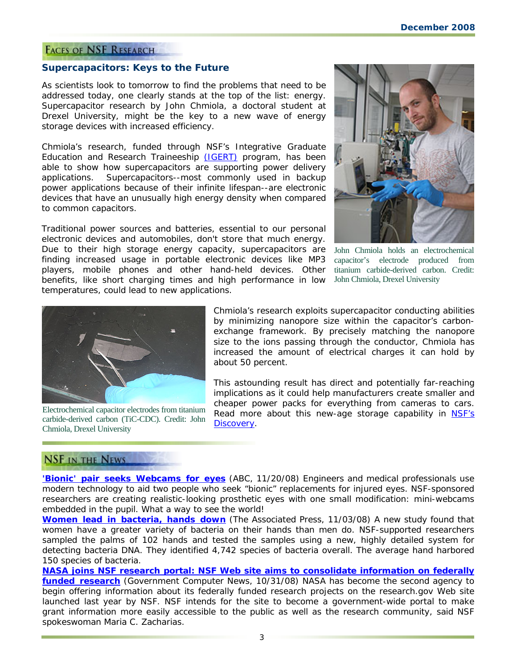## **FACES OF NSF RESEARCH**

#### **Supercapacitors: Keys to the Future**

As scientists look to tomorrow to find the problems that need to be addressed today, one clearly stands at the top of the list: energy. Supercapacitor research by John Chmiola, a doctoral student at Drexel University, might be the key to a new wave of energy storage devices with increased efficiency.

Chmiola's research, funded through NSF's Integrative Graduate Education and Research Traineeship [\(IGERT\)](http://www.nsf.gov/funding/pgm_summ.jsp?pims_id=12759) program, has been able to show how supercapacitors are supporting power delivery applications. Supercapacitors--most commonly used in backup power applications because of their infinite lifespan--are electronic devices that have an unusually high energy density when compared to common capacitors.

Traditional power sources and batteries, essential to our personal electronic devices and automobiles, don't store that much energy. Due to their high storage energy capacity, supercapacitors are finding increased usage in portable electronic devices like MP3 players, mobile phones and other hand-held devices. Other benefits, like short charging times and high performance in low temperatures, could lead to new applications.



John Chmiola holds an electrochemical capacitor's electrode produced from titanium carbide-derived carbon. Credit: John Chmiola, Drexel University



Electrochemical capacitor electrodes from titanium carbide-derived carbon (TiC-CDC). Credit: John Chmiola, Drexel University

Chmiola's research exploits supercapacitor conducting abilities by minimizing nanopore size within the capacitor's carbonexchange framework. By precisely matching the nanopore size to the ions passing through the conductor, Chmiola has increased the amount of electrical charges it can hold by about 50 percent.

This astounding result has direct and potentially far-reaching implications as it could help manufacturers create smaller and cheaper power packs for everything from cameras to cars. Read more about this new-age storage capability in NSF's [Discovery](http://www.nsf.gov/discoveries/disc_summ.jsp?cntn_id=111835&org=NSF).

## **NSF IN THE NEWS**

**['Bionic' pair seeks Webcams for eyes](http://www.nsf.gov/cgi-bin/goodbye?http://abcnews.go.com/Technology/Story?id=6284996&page=1)** (*ABC, 11/20/08*) Engineers and medical professionals use modern technology to aid two people who seek "bionic" replacements for injured eyes. NSF-sponsored researchers are creating realistic-looking prosthetic eyes with one small modification: mini-webcams embedded in the pupil. What a way to see the world!

**[Women lead in bacteria, hands down](http://www.nsf.gov/cgi-bin/goodbye?http://www.iht.com/articles/ap/2008/11/03/america/SCI-Dirty-Hands.php)** (*The Associated Press, 11/03/08*) A new study found that women have a greater variety of bacteria on their hands than men do. NSF-supported researchers sampled the palms of 102 hands and tested the samples using a new, highly detailed system for detecting bacteria DNA. They identified 4,742 species of bacteria overall. The average hand harbored 150 species of bacteria.

**[NASA joins NSF research portal: NSF Web site aims to consolidate information on federally](http://www.nsf.gov/cgi-bin/goodbye?http://www.gcn.com/online/vol1_no1/47477-1.html?topic=&CMP=OTC-RSS)  [funded research](http://www.nsf.gov/cgi-bin/goodbye?http://www.gcn.com/online/vol1_no1/47477-1.html?topic=&CMP=OTC-RSS)** (*Government Computer News, 10/31/08*) NASA has become the second agency to begin offering information about its federally funded research projects on the research.gov Web site launched last year by NSF. NSF intends for the site to become a government-wide portal to make grant information more easily accessible to the public as well as the research community, said NSF spokeswoman Maria C. Zacharias.